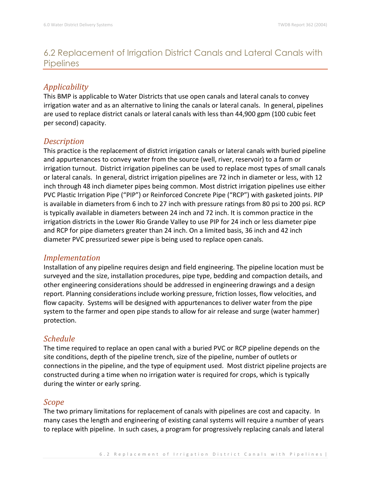# 6.2 Replacement of Irrigation District Canals and Lateral Canals with **Pipelines**

### *Applicability*

This BMP is applicable to Water Districts that use open canals and lateral canals to convey irrigation water and as an alternative to lining the canals or lateral canals. In general, pipelines are used to replace district canals or lateral canals with less than 44,900 gpm (100 cubic feet per second) capacity.

### *Description*

This practice is the replacement of district irrigation canals or lateral canals with buried pipeline and appurtenances to convey water from the source (well, river, reservoir) to a farm or irrigation turnout. District irrigation pipelines can be used to replace most types of small canals or lateral canals. In general, district irrigation pipelines are 72 inch in diameter or less, with 12 inch through 48 inch diameter pipes being common. Most district irrigation pipelines use either PVC Plastic Irrigation Pipe ("PIP") or Reinforced Concrete Pipe ("RCP") with gasketed joints. PIP is available in diameters from 6 inch to 27 inch with pressure ratings from 80 psi to 200 psi. RCP is typically available in diameters between 24 inch and 72 inch. It is common practice in the irrigation districts in the Lower Rio Grande Valley to use PIP for 24 inch or less diameter pipe and RCP for pipe diameters greater than 24 inch. On a limited basis, 36 inch and 42 inch diameter PVC pressurized sewer pipe is being used to replace open canals.

### *Implementation*

Installation of any pipeline requires design and field engineering. The pipeline location must be surveyed and the size, installation procedures, pipe type, bedding and compaction details, and other engineering considerations should be addressed in engineering drawings and a design report. Planning considerations include working pressure, friction losses, flow velocities, and flow capacity. Systems will be designed with appurtenances to deliver water from the pipe system to the farmer and open pipe stands to allow for air release and surge (water hammer) protection.

### *Schedule*

The time required to replace an open canal with a buried PVC or RCP pipeline depends on the site conditions, depth of the pipeline trench, size of the pipeline, number of outlets or connections in the pipeline, and the type of equipment used. Most district pipeline projects are constructed during a time when no irrigation water is required for crops, which is typically during the winter or early spring.

### *Scope*

The two primary limitations for replacement of canals with pipelines are cost and capacity. In many cases the length and engineering of existing canal systems will require a number of years to replace with pipeline. In such cases, a program for progressively replacing canals and lateral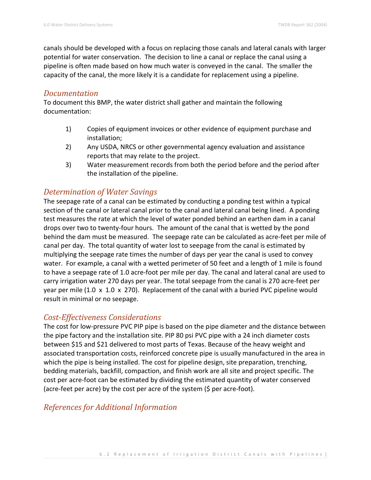canals should be developed with a focus on replacing those canals and lateral canals with larger potential for water conservation. The decision to line a canal or replace the canal using a pipeline is often made based on how much water is conveyed in the canal. The smaller the capacity of the canal, the more likely it is a candidate for replacement using a pipeline.

#### *Documentation*

To document this BMP, the water district shall gather and maintain the following documentation:

- 1) Copies of equipment invoices or other evidence of equipment purchase and installation;
- 2) Any USDA, NRCS or other governmental agency evaluation and assistance reports that may relate to the project.
- 3) Water measurement records from both the period before and the period after the installation of the pipeline.

### *Determination of Water Savings*

The seepage rate of a canal can be estimated by conducting a ponding test within a typical section of the canal or lateral canal prior to the canal and lateral canal being lined. A ponding test measures the rate at which the level of water ponded behind an earthen dam in a canal drops over two to twenty-four hours. The amount of the canal that is wetted by the pond behind the dam must be measured. The seepage rate can be calculated as acre-feet per mile of canal per day. The total quantity of water lost to seepage from the canal is estimated by multiplying the seepage rate times the number of days per year the canal is used to convey water. For example, a canal with a wetted perimeter of 50 feet and a length of 1 mile is found to have a seepage rate of 1.0 acre-foot per mile per day. The canal and lateral canal are used to carry irrigation water 270 days per year. The total seepage from the canal is 270 acre-feet per year per mile (1.0 x 1.0 x 270). Replacement of the canal with a buried PVC pipeline would result in minimal or no seepage.

### *Cost-Effectiveness Considerations*

The cost for low-pressure PVC PIP pipe is based on the pipe diameter and the distance between the pipe factory and the installation site. PIP 80 psi PVC pipe with a 24 inch diameter costs between \$15 and \$21 delivered to most parts of Texas. Because of the heavy weight and associated transportation costs, reinforced concrete pipe is usually manufactured in the area in which the pipe is being installed. The cost for pipeline design, site preparation, trenching, bedding materials, backfill, compaction, and finish work are all site and project specific. The cost per acre-foot can be estimated by dividing the estimated quantity of water conserved (acre-feet per acre) by the cost per acre of the system (\$ per acre-foot).

## *References for Additional Information*